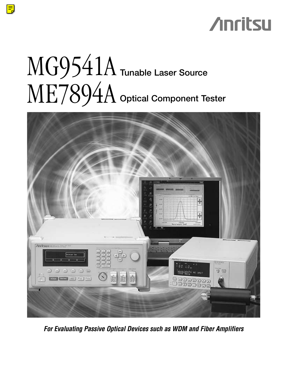## **Anritsu**

# MG9541A **Tunable Laser Source** ME7894A **Optical Component Tester**

 $\equiv$ 



*For Evaluating Passive Optical Devices such as WDM and Fiber Amplifiers*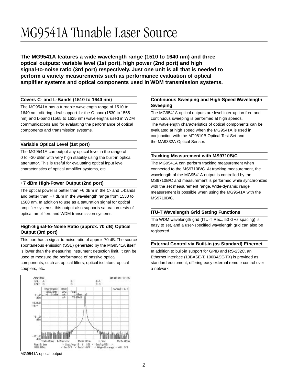### MG9541A Tunable Laser Source

**The MG9541A features a wide wavelength range (1510 to 1640 nm) and three optical outputs: variable level (1st port), high power (2nd port) and high signal-to-noise ratio (3rd port) respectively. Just one unit is all that is needed to perform a variety measurements such as performance evaluation of optical amplifier systems and optical components used in WDM transmission systems.**

#### **Covers C- and L-Bands (1510 to 1640 nm)**

The MG9541A has a turnable wavelength range of 1510 to 1640 nm, offering ideal support for the C-band(1530 to 1565 nm) and L-band (1565 to 1625 nm) wavelengths used in WDM communications and for evaluating the performance of optical components and transmission systems.

#### **Variable Optical Level (1st port)**

The MG9541A can output any optical level in the range of 0 to –30 dBm with very high stability using the built-in optical attenuator. This is useful for evaluating optical input level characteristics of optical amplifier systems, etc.

#### **+7 dBm High-Power Output (2nd port)**

The optical power is better than +6 dBm in the C- and L-bands and better than +7 dBm in the wavelength range from 1530 to 1580 nm. In addition to use as a saturation signal for optical amplifier systems, this output also supports saturation tests of optical amplifiers and WDM transmission systems.

#### **High-Signal-to-Noise Ratio (approx. 70 dB) Optical Output (3rd port)**

This port has a signal-to-noise ratio of approx.70 dB. The source spontaneous emission (SSE) generated by the MG9541A itself is lower than the measuring instrument detection limit. It can be used to measure the performance of passive optical components, such as optical filters, optical isolators, optical couplers, etc.



#### MG9541A optical output

#### **Continuous Sweeping and High-Speed Wavelength Sweeping**

The MG9541A optical outputs are level interruption free and continuous sweeping is performed at high speeds. The wavelength characteristics of optical components can be evaluated at high speed when the MG9541A is used in conjunction with the MT9810B Optical Test Set and the MA9332A Optical Sensor.

#### **Tracking Measurement with MS9710B/C**

The MG9541A can perform tracking measurement when connected to the MS9710B/C. At tracking measurement, the wavelength of the MG9541A output is controlled by the MS9710B/C and measurement is performed while synchronized with the set measurement range. Wide-dynamic range measurement is possible when using the MG9541A with the MS9710B/C.

#### **ITU-T Wavelength Grid Setting Functions**

The WDM wavelength grid (ITU-T Rec., 50 GHz spacing) is easy to set, and a user-specified wavelength grid can also be registered.

#### **External Control via Built-in (as Standard) Ethernet**

In addition to built-in support for GPIB and RS-232C, an Ethernet interface (10BASE-T, 100BASE-TX) is provided as standard equipment, offering easy external remote control over a network.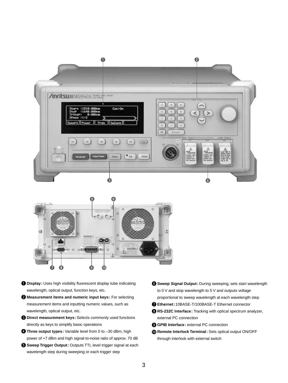



- **Display:** Uses high visibility fluorescent display tube indicating wavelength, optical output, function keys, etc.
- **Measurement items and numeric input keys:** For selecting measurement items and inputting numeric values, such as wavelength, optical output, etc.
- **D** Direct measurement keys: Selects commonly used functions directly as keys to simplify basic operations
- **Three output types:** Variable level from 0 to –30 dBm, high power of +7 dBm and high signal-to-noise ratio of approx. 70 dB
- **G** Sweep Trigger Output: Outputs TTL level trigger signal at each wavelength step during sweeping or each trigger step
- **Sweep Signal Output:** During sweeping, sets start wavelength to 0 V and stop wavelength to 5 V and outputs voltage proportional to sweep wavelength at each wavelength step
- **Ethernet:** 10BASE-T/100BASE-T Ethernet connector
- **RS-232C Interface:** Tracking with optical spectrum analyzer, external PC connection
- **GPIB Interface:** external PC connection
- **Remote Interlock Terminal:** Sets optical output ON/OFF through interlock with external switch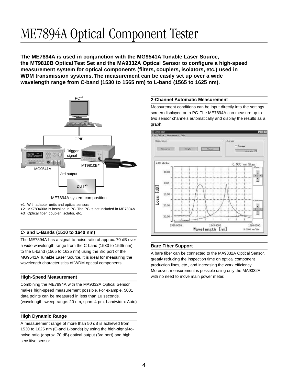### ME7894A Optical Component Tester

**The ME7894A is used in conjunction with the MG9541A Tunable Laser Source, the MT9810B Optical Test Set and the MA9332A Optical Sensor to configure a high-speed measurement system for optical components (filters, couplers, isolators, etc.) used in WDM transmission systems. The measurement can be easily set up over a wide wavelength range from C-band (1530 to 1565 nm) to L-band (1565 to 1625 nm).**



ME7894A system composition

\*2 : MX789400A is installed in PC. The PC is not included in ME7894A.

\*3 : Optical fiber, coupler, isolator, etc.

#### **C- and L-Bands (1510 to 1640 nm)**

The ME7894A has a signal-to-noise ratio of approx. 70 dB over a wide wavelength range from the C-band (1530 to 1565 nm) to the L-band (1565 to 1625 nm) using the 3rd port of the MG9541A Tunable Laser Source. It is ideal for measuring the wavelength characteristics of WDM optical components.

#### **High-Speed Measurement**

Combining the ME7894A with the MA9332A Optical Sensor makes high-speed measurement possible. For example, 5001 data points can be measured in less than 10 seconds. (wavelength sweep range: 20 nm, span: 4 pm, bandwidth: Auto)

#### **High Dynamic Range**

A measurement range of more than 50 dB is achieved from 1530 to 1625 nm (C-and L-bands) by using the high-signal-tonoise ratio (approx. 70 dB) optical output (3rd port) and high sensitive sensor.

#### **2-Channel Automatic Measurement**

Measurement conditions can be input directly into the settings screen displayed on a PC. The ME7894A can measure up to two sensor channels automatically and display the results as a graph.



#### **Bare Fiber Support**

A bare fiber can be connected to the MA9332A Optical Sensor, greatly reducing the inspection time on optical component production lines, etc., and increasing the work efficiency. Moreover, measurement is possible using only the MA9332A with no need to move main power meter.

<sup>\*1 :</sup> With adapter units and optical sensors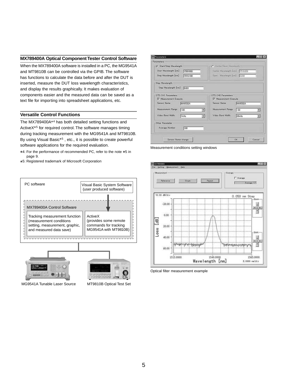#### **MX789400A Optical Component Tester Control Software**

When the MX789400A software is installed in a PC, the MG9541A and MT9810B can be controlled via the GPIB. The software has functions to calculate the data before and after the DUT is inserted, measure the DUT loss wavelength characteristics, and display the results graphically. It makes evaluation of components easier and the measured data can be saved as a text file for importing into spreadsheet applications, etc.

#### **Versatile Control Functions**

The MX789400A\*4 has both detailed setting functions and ActiveX\*5 for required control. The software manages timing during tracking measurement with the MG9541A and MT9810B. By using Visual Basic\*5 , etc., it is possible to create powerful software applications for the required evaluation.

\*4: For the performance of recommended PC, refer to the note \*5 in page 9.

\*5: Registered trademark of Microsoft Corporation



MG9541A Tunable Laser Source MT9810B Optical Test Set

LISIX **ITT Parameter** (md developed Eiros ono finally band. Fire **Star** neth (nm) 5510.100 ett ford For Stop hip Wavelength Step Wavelength [nm] [0.001] OTS CHI Parameter OTS CH2 Peramete **V** Measurement Execute Б e. **MAR332** MA9332/ Measurement Range  $\Box$ F  $-30$  $\overline{\mathbf{x}}$ Video Band Width 204/4 Thite 킈  $\overline{\mathcal{Z}}$ Other Parameter Average Number  $100 - 100$ Senzor Name change Cancel **OK** 

Measurement conditions setting windows



Optical filter measurement example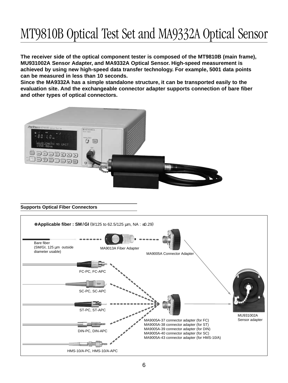### MT9810B Optical Test Set and MA9332A Optical Sensor

**The receiver side of the optical component tester is composed of the MT9810B (main frame), MU931002A Sensor Adapter, and MA9332A Optical Sensor. High-speed measurement is achieved by using new high-speed data transfer technology. For example, 5001 data points can be measured in less than 10 seconds.**

**Since the MA9332A has a simple standalone structure, it can be transported easily to the evaluation site. And the exchangeable connector adapter supports connection of bare fiber and other types of optical connectors.**



#### **Supports Optical Fiber Connectors**

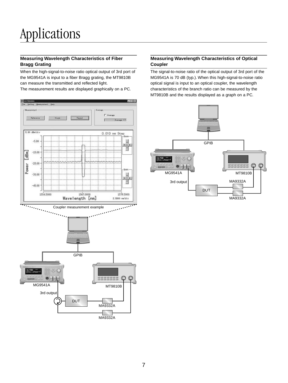#### **Measuring Wavelength Characteristics of Fiber Bragg Grating**

When the high-signal-to-noise ratio optical output of 3rd port of the MG9541A is input to a fiber Bragg grating, the MT9810B can measure the transmitted and reflected light. The measurement results are displayed graphically on a PC.



#### **Measuring Wavelength Characteristics of Optical Coupler**

The signal-to-noise ratio of the optical output of 3rd port of the MG9541A is 70 dB (typ.). When this high-signal-to-noise ratio optical signal is input to an optical coupler, the wavelength characteristics of the branch ratio can be measured by the MT9810B and the results displayed as a graph on a PC.

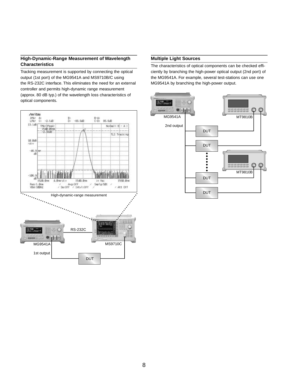#### **High-Dynamic-Range Measurement of Wavelength Characteristics**

Tracking measurement is supported by connecting the optical output (1st port) of the MG9541A and MS9710B/C using the RS-232C interface. This eliminates the need for an external controller and permits high-dynamic range measurement (approx. 80 dB typ.) of the wavelength loss characteristics of optical components.



#### **Multiple Light Sources**

The characteristics of optical components can be checked efficiently by branching the high-power optical output (2nd port) of the MG9541A. For example, several test-stations can use one MG9541A by branching the high-power output.

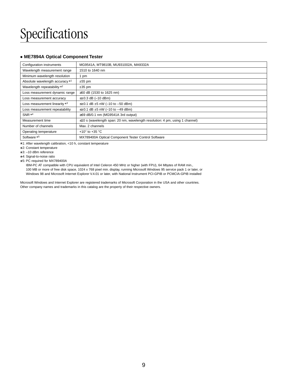### Specifications

#### **• ME7894A Optical Component Tester**

| Configuration instruments       | MG9541A, MT9810B, MU931002A, MA9332A                                               |
|---------------------------------|------------------------------------------------------------------------------------|
| Wavelength measurement range    | 1510 to 1640 nm                                                                    |
| Minimum wavelength resolution   | 1 pm                                                                               |
| Absolute wavelength accuracy *1 | $±55$ pm                                                                           |
| Wavelength repeatability *2     | $±35$ pm                                                                           |
| Loss measurement dynamic range  | ≥50 dB (1530 to 1625 nm)                                                           |
| Loss measurement accuracy       | $\leq \pm 0.3$ dB (-10 dBm)                                                        |
| Loss measurement linearity *3   | $\leq \pm 0.1$ dB $\pm 5$ nW (-10 to -50 dBm)                                      |
| Loss measurement repeatability  | $\leq \pm 0.1$ dB $\pm 5$ nW (-10 to -49 dBm)                                      |
| SNR *4                          | $\geq$ 69 dB/0.1 nm (MG9541A 3rd output)                                           |
| Measurement time                | $\leq$ 10 s (wavelength span: 20 nm, wavelength resolution: 4 pm, using 1 channel) |
| Number of channels              | Max. 2 channels                                                                    |
| Operating temperature           | +10 $\degree$ to +35 $\degree$ C                                                   |
| Software *5                     | MX789400A Optical Component Tester Control Software                                |

\*1: After wavelength calibration, <10 h, constant temperature

\*2: Constant temperature

\*3: –10 dBm reference

\*4: Signal-to-noise ratio

\*5: PC required for MX789400A

IBM-PC AT compatible with CPU equivalent of Intel Celeron 450 MHz or higher (with FPU), 64 Mbytes of RAM min., 100 MB or more of free disk space, 1024 x 768 pixel min. display, running Microsoft Windows 95 service pack 1 or later, or Windows 98 and Microsoft Internet Explorer V.4.01 or later, with National Instrument PCI-GPIB or PCMCIA-GPIB installed

Microsoft Windows and Internet Explorer are registered trademarks of Microsoft Corporation in the USA and other countries. Other company names and trademarks in this catalog are the property of their respective owners.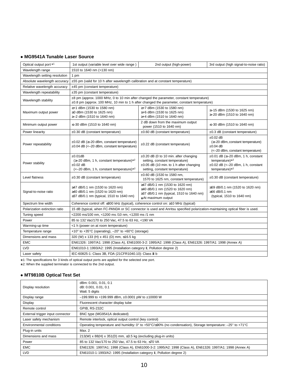#### **• MG9541A Tunable Laser Source**

| Optical output port *1        | 1st output (variable level over wide range)                                                                                                                                                     | 2nd output (high-power)                                                                                                                                   | 3rd output (high signal-to-noise ratio)                                                                                             |  |
|-------------------------------|-------------------------------------------------------------------------------------------------------------------------------------------------------------------------------------------------|-----------------------------------------------------------------------------------------------------------------------------------------------------------|-------------------------------------------------------------------------------------------------------------------------------------|--|
| Wavelength range              | 1510 to 1640 nm (>130 nm)                                                                                                                                                                       |                                                                                                                                                           |                                                                                                                                     |  |
| Wavelength setting resolution | 1 pm                                                                                                                                                                                            |                                                                                                                                                           |                                                                                                                                     |  |
| Absolute wavelength accuracy  | ±55 pm (valid for 10 h after wavelength calibration and at constant temperature)                                                                                                                |                                                                                                                                                           |                                                                                                                                     |  |
| Relative wavelength accuracy  | ±45 pm (constant temperature)                                                                                                                                                                   |                                                                                                                                                           |                                                                                                                                     |  |
| Wavelength repeatability      | ±35 pm (constant temperature)                                                                                                                                                                   |                                                                                                                                                           |                                                                                                                                     |  |
| Wavelength stability          | $\pm 8$ pm (approx. 1000 MHz, 0 to 10 min after changed the parameter, constant temperature)<br>$\pm 0.8$ pm (approx. 100 MHz, 10 min to 1 h after changed the parameter, constant temperature) |                                                                                                                                                           |                                                                                                                                     |  |
| Maximum output power          | ≥+1 dBm (1530 to 1580 nm)<br>≥0 dBm (1530 to 1625 nm)<br>≥-2 dBm (1510 to 1640 nm)                                                                                                              | ≥+7 dBm (1530 to 1580 nm)<br>≥+6 dBm (1530 to 1625 nm)<br>≥+4 dBm (1510 to 1640 nm)                                                                       | ≥–15 dBm (1530 to 1625 nm)<br>≥-20 dBm (1510 to 1640 nm)                                                                            |  |
| Minimum output power          | ≤-30 dBm (1510 to 1640 nm)                                                                                                                                                                      | 2 dB down from the maximum output<br>power (1510 to 1640 nm)                                                                                              | ≤-30 dBm (1510 to 1640 nm)                                                                                                          |  |
| Power linearity               | ±0.30 dB (constant temperature)                                                                                                                                                                 | $\pm 0.60$ dB (constant temperature)                                                                                                                      | ±0.3 dB (constant temperature)                                                                                                      |  |
| Power repeatability           | $\pm 0.02$ dB ( $\geq -20$ dBm, constant temperature)<br>$\pm 0.04$ dB (<-20 dBm, constant temperature)                                                                                         | ±0.22 dB (constant temperature)                                                                                                                           | $\pm 0.02$ dB<br>(≥-20 dBm, constant temperature)<br>$\pm 0.04$ dB<br>(<-20 dBm, constant temperature)                              |  |
| Power stability               | ±0.01dB<br>$(\geq -20$ dBm, 1 h, constant temperature)*2<br>$\pm 0.02$ dB<br>$\left(-20 \text{ dBm}, 1 \text{ h}, \text{ constant temperature}\right)$ *2                                       | ±0.20 dB (0 to 10 min. after changing<br>setting, constant temperature)<br>$\pm 0.05$ dB (10 min. to 1 h after changing<br>setting, constant temperature) | $\pm 0.01$ dB ( $\geq -20$ dBm, 1 h, constant<br>temperature) $*^2$<br>$\pm 0.02$ dB (<-20 dBm, 1 h, constant<br>temperature) $*^2$ |  |
| Level flatness                | $\pm 0.30$ dB (constant temperature)                                                                                                                                                            | ±0.60 dB (1530 to 1580 nm,<br>1570 to 1625 nm, constant temperature)                                                                                      | $\pm 0.30$ dB (constant temperature)                                                                                                |  |
| Signal-to-noise ratio         | ≥47 dB/0.1 nm (1530 to 1620 nm)<br>≥40 dB/0.1 nm (1520 to 1620 nm)<br>≥37 dB/0.1 nm (typical, 1510 to 1640 nm)                                                                                  | ≥47 dB/0.1 nm (1530 to 1620 nm)<br>≥40 dB/0.1 nm (1520 to 1620 nm)<br>≥37 dB/0.1 nm (typical, 1510 to 1640 nm)<br>*At maximum output                      | ≥69 dB/0.1 nm (1520 to 1620 nm)<br>≥66 dB/0.1 nm<br>(typical, 1510 to 1640 nm)                                                      |  |
| Spectrum line width           | Coherence control off: ≤800 kHz (typical), coherence control on: ≥10 MHz (typical)                                                                                                              |                                                                                                                                                           |                                                                                                                                     |  |
| Polarization extinction ratio |                                                                                                                                                                                                 | 15 dB (typical, when FC-PANDA or SC connector is used and Anritsu specified polarization-maintaining optical fiber is used.                               |                                                                                                                                     |  |
| Tuning speed                  | <2200 ms/100 nm, <1200 ms /10 nm, <1200 ms /1 nm                                                                                                                                                |                                                                                                                                                           |                                                                                                                                     |  |
| Power                         | 85 to 132 Vac/170 to 250 Vac, 47.5 to 63 Hz, <190 VA                                                                                                                                            |                                                                                                                                                           |                                                                                                                                     |  |
| Warming-up time               | <1 h (power on at room temperature)                                                                                                                                                             |                                                                                                                                                           |                                                                                                                                     |  |
| Temperature range             | +10° to +35°C (operating), -20° to +60°C (storage)                                                                                                                                              |                                                                                                                                                           |                                                                                                                                     |  |
| Dimensions and mass           | 320 (W) x 133 (H) x 451 (D) mm, ≤16.5 kg                                                                                                                                                        |                                                                                                                                                           |                                                                                                                                     |  |
| <b>EMC</b>                    | EN61326: 1997/A1: 1998 (Class A), EN61000-3-2: 1995/A2: 1998 (Class A), EN61326: 1997/A1: 1998 (Annex A)                                                                                        |                                                                                                                                                           |                                                                                                                                     |  |
| LVD                           | EN61010-1:1993/A2: 1995 (Installation category II, Pollution degree 2)                                                                                                                          |                                                                                                                                                           |                                                                                                                                     |  |
| Laser safety                  | IEC-60825-1: Class 3B, FDA (21CFR1040.10): Class III b                                                                                                                                          |                                                                                                                                                           |                                                                                                                                     |  |

\*1: The specifications for 3 kinds of optical output ports are applied for the selected one port.

\*2: When the supplied terminator is connected to the 2nd output.

#### **• MT9810B Optical Test Set**

| Display resolution               | dBm: 0.001, 0.01, 0.1<br>dB: 0.001, 0.01, 0.1<br>Watt: 5 digits                                            |
|----------------------------------|------------------------------------------------------------------------------------------------------------|
| Display range                    | $-199.999$ to +199.999 dBm, ±0.0001 pW to ±10000 W                                                         |
| Display                          | Fluorescent character display tube                                                                         |
| Remote control                   | <b>GPIB, RS-232C</b>                                                                                       |
| External trigger input connector | BNC type (MG9541A dedicated)                                                                               |
| Laser safety mechanism           | Remote interlock, optical output control (key control)                                                     |
| Environmental conditions         | Operating temperature and humidity: 0° to +50°C/≤90% (no condensation), Storage temperature: -25° to +71°C |
| Plug-in units                    | Max. 2                                                                                                     |
| Dimensions and mass              | 213(W) x 88(H) x 351(D) mm, $\leq$ 3.5 kg (excluding plug-in units)                                        |
| Power                            | 85 to 132 Vac/170 to 250 Vac, 47.5 to 63 Hz, ≤70 VA                                                        |
| <b>EMC</b>                       | EN61326: 1997/A1: 1998 (Class A), EN61000-3-2: 1995/A2: 1998 (Class A), EN61326: 1997/A1: 1998 (Annex A)   |
| <b>LVD</b>                       | EN61010-1:1993/A2: 1995 (Installation category II, Pollution degree 2)                                     |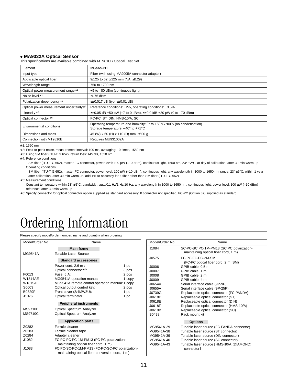#### **• MA9332A Optical Sensor**

This specifications are available combined with MT9810B Optical Test Set.

| Element                                 | InGaAs-PD                                                                                                                                                  |
|-----------------------------------------|------------------------------------------------------------------------------------------------------------------------------------------------------------|
| Input type                              | Fiber (with using MA9005A connector adapter)                                                                                                               |
| Applicable optical fiber                | 9/125 to 62.5/125 mm (NA: $\leq$ 0.29)                                                                                                                     |
| Wavelength range                        | 750 to 1700 nm                                                                                                                                             |
| Optical power measurement range *1      | +5 to -80 dBm (continuous light)                                                                                                                           |
| Noise level *2                          | $\leq -76$ dBm                                                                                                                                             |
| Polarization dependency *3              | $\leq \pm 0.017$ dB (typ: $\leq \pm 0.01$ dB)                                                                                                              |
| Optical power measurement uncertainty*4 | Reference conditions: ±2%, operating conditions: ±3.5%                                                                                                     |
| Linearity *5                            | $\leq \pm 0.05$ dB $\pm 50$ pW (+7 to 0 dBm), $\leq \pm 0.01$ dB $\pm 30$ pW (0 to -70 dBm)                                                                |
| Optical connector *6                    | FC-PC, ST, DIN, HMS-10/A, SC                                                                                                                               |
| Environmental conditions                | Operating temperature and humidity: $0^{\circ}$ to +50 $^{\circ}$ C/ $\leq$ 90% (no condensation)<br>Storage temperature: $-40^{\circ}$ to $+71^{\circ}$ C |
| Dimensions and mass                     | 45 (W) x 60 (H) x 110 (D) mm, ≤500 g                                                                                                                       |
| Connection with MT9810B                 | Requires MU931002A                                                                                                                                         |

\*1: 1550 nm

\*2: Peak-to-peak noise, measurement interval: 100 ms, averaging: 10 times, 1550 nm

\*3: Using SM fiber (ITU-T G.652), return loss: <sup>≥</sup>45 dB, 1550 nm

\*4: Reference conditions

SM fiber (ITU-T G.652), master FC connector, power level: 100 µW (-10 dBm), continuous light, 1550 nm, 23° ±2°C, at day of calibration, after 30 min warm-up Operating conditions

SM fiber (ITU-T G.652), master FC connector, power level: 100 μW (-10 dBm), continuous light, any wavelength in 1000 to 1650 nm range, 23° ±5°C, within 1 year after calibration, after 30 min warm-up, add 1% to accuracy for a fiber other than SM fiber (ITU-T G.652)

\*5: Measurement conditions

Constant temperature within 23° ±5°C, bandwidth: auto/0.1 Hz/1 Hz/10 Hz, any wavelength in 1000 to 1650 nm, continuous light, power level: 100 µW (–10 dBm) reference, after 30 min warm up

\*6: Specify connector for optical connector option supplied as standard accessory. If connector not specified, FC-PC (Option 37) supplied as standard.

### Ordering Information

Please specify model/order number, name and quantity when ordering.

| Model/Order No.                                         | Name                                            |  |  |
|---------------------------------------------------------|-------------------------------------------------|--|--|
|                                                         | <b>Main frame</b>                               |  |  |
| MG9541A                                                 | Tunable Laser Source                            |  |  |
|                                                         | <b>Standard accessories</b>                     |  |  |
|                                                         | Power cord, 2.6 m :<br>1 pc                     |  |  |
|                                                         | Optical connector *1:<br>3 pcs                  |  |  |
| F0013                                                   | Fuse, 5 A:<br>2 pcs                             |  |  |
| <b>W1814AE</b>                                          | MG9541A operation manual:<br>1 copy             |  |  |
| W1815AE                                                 | MG9541A remote control operation manual: 1 copy |  |  |
| S0003                                                   | Optical output control key:<br>2 pcs            |  |  |
| B0329F                                                  | Front cover (3/4MW3U):<br>1 pc                  |  |  |
| J1076                                                   | Optical terminator:<br>1 pc                     |  |  |
|                                                         | <b>Peripheral instruments</b>                   |  |  |
| <b>MS9710B</b>                                          | <b>Optical Spectrum Analyzer</b>                |  |  |
| <b>MS9710C</b>                                          | Optical Spectrum Analyzer                       |  |  |
|                                                         | <b>Application parts</b>                        |  |  |
|                                                         |                                                 |  |  |
| Z0282                                                   | Ferrule cleaner                                 |  |  |
| Z0283                                                   | Ferrule cleaner tape                            |  |  |
| Z0284                                                   | Adapter cleaner                                 |  |  |
| J1082                                                   | FC-PC-FC-PC-1M-PM13 (FC-PC polarization-        |  |  |
|                                                         | maintaining optical fiber cord, 1 m)            |  |  |
| FC-PC-SC-PC-1M-PM13 (FC-PC-SC-PC polarization-<br>J1083 |                                                 |  |  |
| maintaining optical fiber conversion cord, 1 m)         |                                                 |  |  |

| Model/Order No. | Name                                                                             |
|-----------------|----------------------------------------------------------------------------------|
| J1084           | SC-PC-SC-PC-1M-PM13 (SC-PC polarization-<br>maintaining optical fiber cord, 1 m) |
| J0575           | FC-PC-FC-PC-2M-SM<br>(FC-PC optical fiber cord, 2 m, SM)                         |
| <b>9000L</b>    | GPIB cable, 0.5 m                                                                |
| J0007           | GPIB cable, 1 m                                                                  |
| J0008           | GPIB cable, 2 m                                                                  |
| <b>J0009</b>    | GPIB cable, 4 m                                                                  |
| J0654A          | Serial interface cable (9P-9P)                                                   |
| J0655A          | Serial interface cable (9P-25P)                                                  |
| J0739G          | Replaceable optical connector (FC-PANDA)                                         |
| J0618D          | Replaceable optical connector (ST)                                               |
| J0618E          | Replaceable optical connector (DIN)                                              |
| J0618F          | Replaceable optical connector (HMS-10/A)                                         |
| J0619B          | Replaceable optical connector (SC)                                               |
| B0498           | Rack mount kit                                                                   |
|                 | <b>Options</b>                                                                   |
| MG9541A-29      | Tunable laser source (FC-PANDA connector)                                        |
| MG9541A-38      | Tunable laser source (ST connector)                                              |
| MG9541A-39      | Tunable laser source (DIN connector)                                             |
| MG9541A-40      | Tunable laser source (SC connector)                                              |
| MG9541A-43      | Tunable laser source [HMS-10/A (DIAMOND)<br>connector l                          |